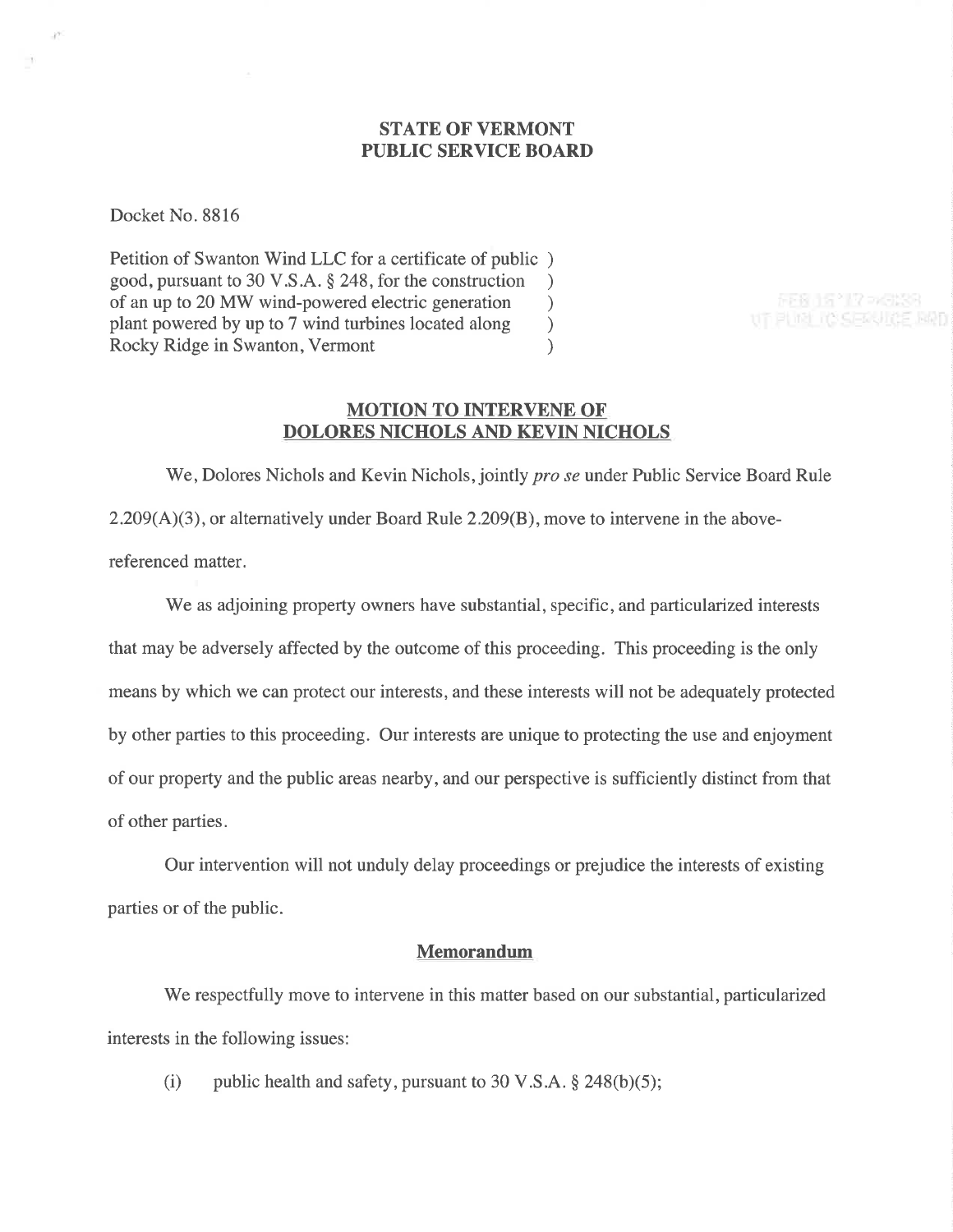# **STATE OF VERMONT** PUBLIC SERVICE BOARD

Docket No. 8816

-17

Petition of Swanton Wind LLC for a certificate of public ) good, pursuant to 30 V.S.A. § 248, for the construction <br>of an up to 20 MW wind-powered electric generation  $\qquad$ of an up to 20 MW wind-powered electric generation <br>plant powered by up to 7 wind turbines located along ) plant powered by up to 7 wind turbines located along (a) Rocky Ridge in Swanton, Vermont (b) Rocky Ridge in Swanton, Vermont

FEB 15 '17 > 9139 UT PURL IC SERVICE RRD

# MOTION TO INTERVENE OF DOLORES NICHOLS AND KEVIN NICHOLS

We, Dolores Nichols and Kevin Nichols, jointly *pro se* under Public Service Board Rule  $2.209(A)(3)$ , or alternatively under Board Rule 2.209(B), move to intervene in the abovereferenced matter.

We as adjoining property owners have substantial, specific, and particularized interests that may be adversely affected by the outcome of this proceeding. This proceeding is the only means by which we can protect our interests, and these interests will not be adequately protected by other parties to this proceeding. Our interests are unique to protecting the use and enjoyment of our property and the public areas nearby, and our perspective is sufficiently distinct from that of other parties.

Our intervention will not unduly delay proceedings or prejudice the interests of existing parties or of the public.

# Memorandum

We respectfully move to intervene in this matter based on our substantial, particularized interests in the following issues:

(i) public health and safety, pursuant to 30 V.S.A.  $\S$  248(b)(5);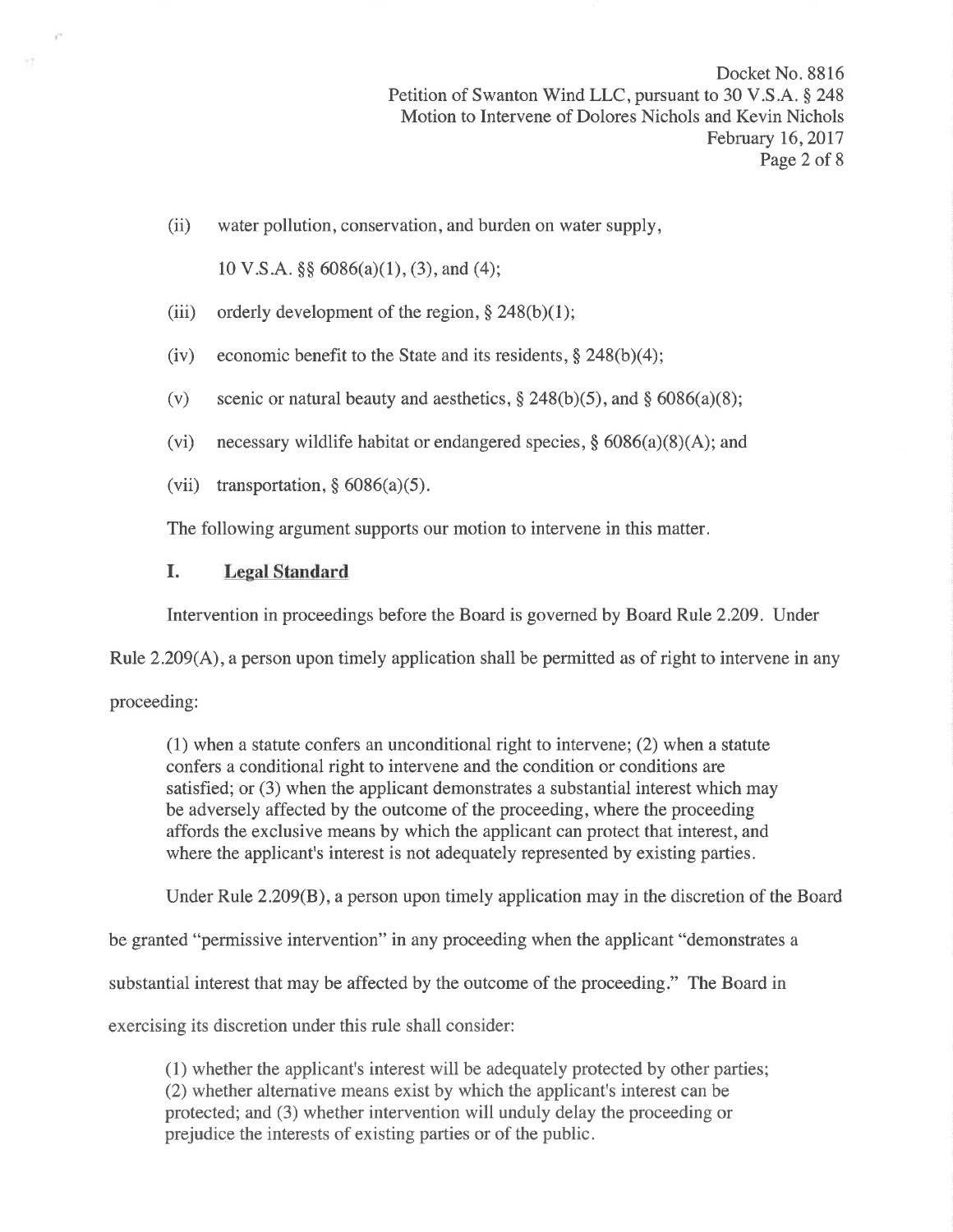Docket No. 8816 Petition of Swanton Wind LLC, pursuant to 30 V.S.A. § 248 Motion to Intervene of Dolores Nichols and Kevin Nichols February 16,2017 Page 2 of 8

(ii) water pollution, conservation, and burden on water supply,

10 V.S.A. \$\$ 6086(a)(1), (3), and (4);

- (iii) orderly development of the region,  $§$  248(b)(1);
- (iv) economic benefit to the State and its residents,  $\S$  248(b)(4);
- (v) scenic or natural beauty and aesthetics,  $\S 248(b)(5)$ , and  $\S 6086(a)(8)$ ;
- (vi) necessary wildlife habitat or endangered species,  $\S$  6086(a)(8)(A); and
- (vii) transportation,  $§ 6086(a)(5)$ .

The following argument supports our motion to intervene in this matter.

### I. Legal Standard

Intervention in proceedings before the Board is governed by Board Rule 2.209. Under

Rule 2.209(A), a person upon timely application shall be permitted as of right to intervene in any

proceeding:

VY.

(1) when a statute confers an unconditional right to intervene; (2) when a statute confers a conditional right to intervene and the condition or conditions are satisfied; or (3) when the applicant demonstrates a substantial interest which may be adversely affected by the outcome of the proceeding, where the proceeding affords the exclusive means by which the applicant can protect that interest, and where the applicant's interest is not adequately represented by existing parties.

Under Rule 2.209(8), a person upon timely application may in the discretion of the Board

be granted "permissive intervention" in any proceeding when the applicant "demonstrates a

substantial interest that may be affected by the outcome of the proceeding." The Board in

exercising its discretion under this rule shall consider:

(1) whether the applicant's interest will be adequately protected by other parties; (2) whether alternative means exist by which the applicant's interest can be protected; and (3) whether intervention will unduly delay the proceeding or prejudice the interests of existing parties or of the public.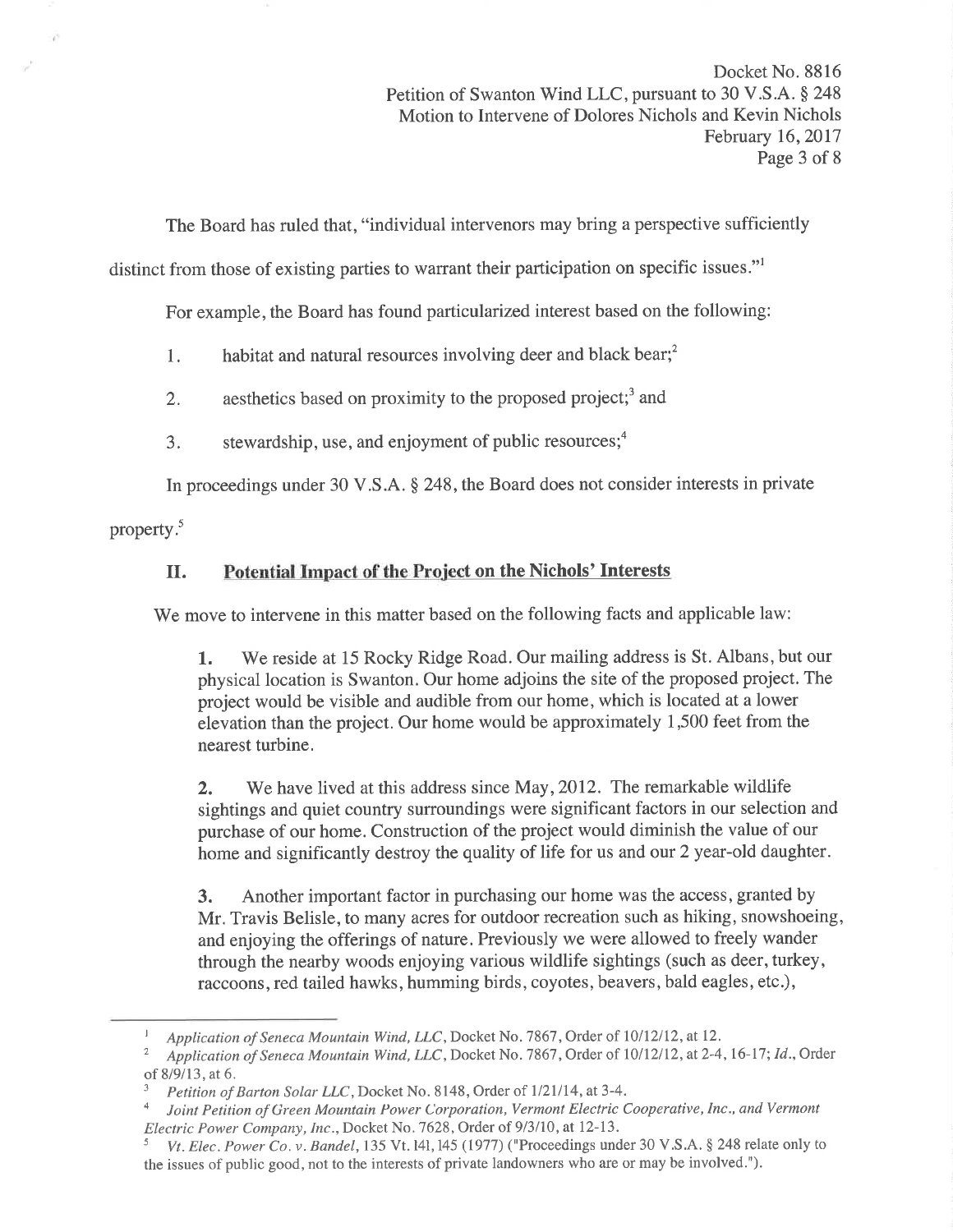The Board has ruled that, "individual intervenors may bring a perspective sufficiently

distinct from those of existing parties to warrant their participation on specific issues."<sup>1</sup>

For example, the Board has found particularized interest based on the following:

1. habitat and natural resources involving deer and black bear; $<sup>2</sup>$ </sup>

- 2. aesthetics based on proximity to the proposed project;<sup>3</sup> and
- 3. stewardship, use, and enjoyment of public resources; $<sup>4</sup>$ </sup>

In proceedings under 30 V.S.A. \$ 248, the Board does not consider interests in private

property.<sup>5</sup>

# II. Potential Impact of the Project on the Nichols' Interests

We move to intervene in this matter based on the following facts and applicable law:

1. We reside at 15 Rocky Ridge Road. Our mailing address is St. Albans, but our physical location is Swanton. Our home adjoins the site of the proposed project. The project would be visible and audible from our home, which is located at a lower elevation than the project. Our home would be approximately  $1,500$  feet from the nearest turbine.

2. We have lived at this address since May, 2012. The remarkable wildlife sightings and quiet country surroundings were significant factors in our selection and purchase of our home. Construction of the project would diminish the value of our home and significantly destroy the quality of life for us and our 2 year-old daughter.

3. Another important factor in purchasing our home was the access, granted by Mr. Travis Belisle, to many acres for outdoor recreation such as hiking, snowshoeing, and enjoying the offerings of nature. Previously we were allowed to freely wander through the nearby woods enjoying various wildlife sightings (such as deer, turkey, raccoons, red tailed hawks, humming birds, coyotes, beavers, bald eagles, etc.),

I Application of Seneca Mountain Wind, LLC, Docket No. 7867, Order of  $10/12/12$ , at 12.<br><sup>2</sup> Application of Seneca Mountain Wind, LLC, Docket No. 7867, Order of  $10/12/12$ , at 2-4, 16-17; Id., Order

of 8/9/13, at 6.<br><sup>3</sup> Petition of Barton Solar LLC, Docket No. 8148, Order of 1/21/14, at 3-4.<br><sup>4</sup> Joint Petition of Green Mountain Power Corporation, Vermont Electric Cooperative, Inc., and Vermont

Electric Power Company, Inc., Docket No. 7628, Order of 9/3/10, at 12-13.<br><sup>5</sup> Vt. Elec. Power Co. v. Bandel, 135 Vt. 14l, 145 (1977) ("Proceedings under 30 V.S.A. § 248 relate only to the issues of public good, not to the interests of private landowners who are or may be involved.").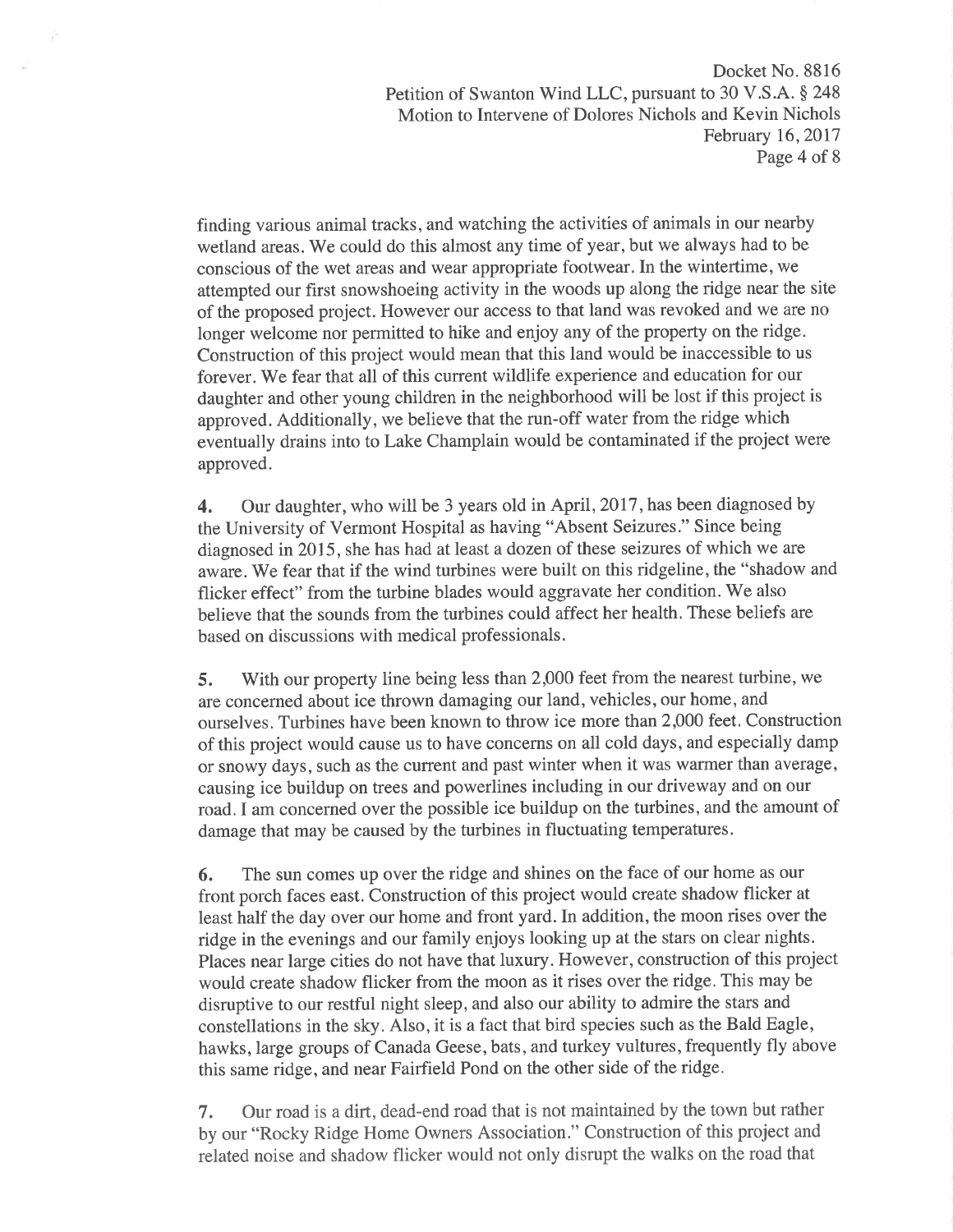Docket No. 8816 Petition of Swanton Wind LLC, pursuant to 30 V.S.A. § 248 Motion to Intervene of Dolores Nichols and Kevin Nichols February 16,2017 Page 4 of 8

finding various animal tracks, and watching the activities of animals in our nearby wetland areas. We could do this almost any time of year, but we always had to be conscious of the wet areas and wear appropriate footwear. In the wintertime, we attempted our first snowshoeing activity in the woods up along the ridge near the site of the proposed project. However our access to that land was revoked and we are no longer welcome nor permitted to hike and enjoy any of the property on the ridge. Construction of this project would mean that this land would be inaccessible to us forever. We fear that all of this current wildlife experience and education for our daughter and other young children in the neighborhood will be lost if this project is approved. Additionally, we believe that the run-off water from the ridge which eventually drains into to Lake Champlain would be contaminated if the project were approved.

4. Our daughter, who will be 3 years old in April, 2017, has been diagnosed by the University of Vermont Hospital as having "Absent Seizures." Since being diagnosed in 2015, she has had at least a dozen of these seizures of which we are aware. We fear that if the wind turbines were built on this ridgeline, the "shadow and flicker effect" from the turbine blades would aggravate her condition. We also believe that the sounds from the turbines could affect her health. These beliefs are based on discussions with medical professionals.

5. With our property line being less than 2,000 feet from the nearest turbine, we are concerned about ice thrown damaging our land, vehicles, our home, and ourselves. Turbines have been known to throw ice more than 2,000 feet. Construction of this project would cause us to have concerns on all cold days, and especially damp or snowy days, such as the current and past winter when it was warmer than average, causing ice buildup on trees and powerlines including in our driveway and on our road. I am concerned over the possible ice buildup on the turbines, and the amount of damage that may be caused by the turbines in fluctuating temperatures.

6. The sun comes up over the ridge and shines on the face of our home as our front porch faces east. Construction of this project would create shadow flicker at least half the day over our home and front yard. In addition, the moon rises over the ridge in the evenings and our family enjoys looking up at the stars on clear nights. Places near large cities do not have that luxury. However, construction of this project would create shadow flicker from the moon as it rises over the ridge. This may be disruptive to our restful night sleep, and also our ability to admire the stars and constellations in the sky. Also, it is a fact that bird species such as the Bald Eagle, hawks, large groups of Canada Geese, bats, and turkey vultures, frequently fly above this same ridge, and near Fairfield Pond on the other side of the ridge.

7. Our road is a dirt, dead-end road that is not maintained by the town but rather by our "Rocky Ridge Home Owners Association." Construction of this project and related noise and shadow flicker would not only disrupt the walks on the road that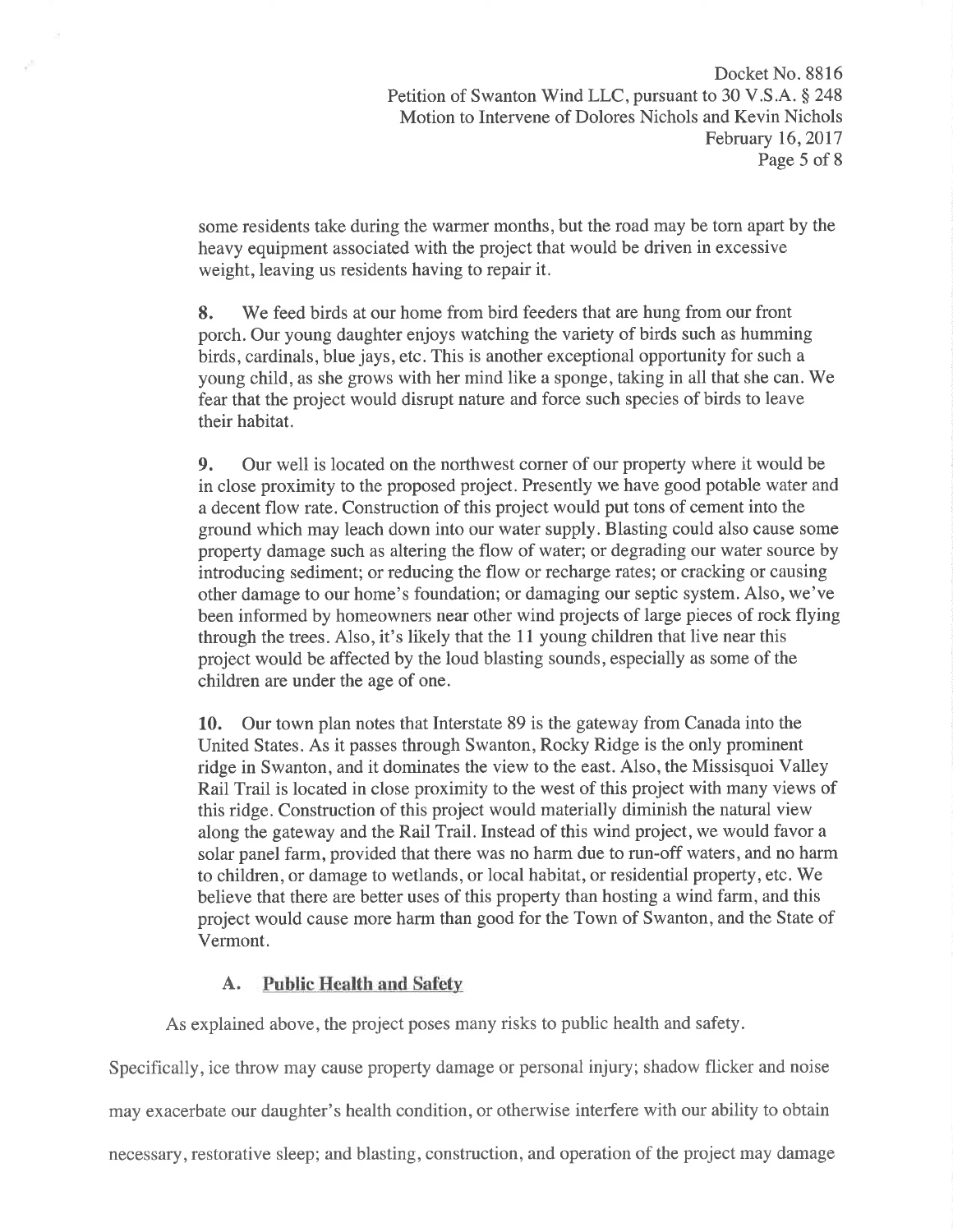some residents take during the warmer months, but the road may be torn apart by the heavy equipment associated with the project that would be driven in excessive weight, leaving us residents having to repair it.

8. We feed birds at our home from bird feeders that are hung from our front porch. Our young daughter enjoys watching the variety of birds such as humming birds, cardinals, blue jays, etc. This is another exceptional opportunity for such a young child, as she grows with her mind like a sponge, taking in all that she can. We fear that the project would disrupt nature and force such species of birds to leave their habitat.

9. Our well is located on the northwest corner of our property where it would be in close proximity to the proposed project. Presently we have good potable water and a decent flow rate. Construction of this project would put tons of cement into the ground which may leach down into our water supply. Blasting could also cause some property damage such as altering the flow of water; or degrading our water source by introducing sediment; or reducing the flow or recharge rates; or cracking or causing other damage to our home's foundation; or damaging our septic system. Also, we've been informed by homeowners near other wind projects of large pieces of rock flying through the trees. Also, it's likely that the 1l young children that live near this project would be affected by the loud blasting sounds, especially as some of the children are under the age of one.

10. Our town plan notes that Interstate 89 is the gateway from Canada into the United States. As it passes through Swanton, Rocky Ridge is the only prominent ridge in Swanton, and it dominates the view to the east. Also, the Missisquoi Valley Rail Trail is located in close proximity to the west of this project with many views of this ridge. Construction of this project would materially diminish the natural view along the gateway and the Rail Trail. Instead of this wind project, we would favor a solar panel farm, provided that there was no harm due to run-off waters, and no harm to children, or damage to wetlands, or local habitat, or residential property, etc. We believe that there are better uses of this property than hosting a wind farm, and this project would cause more harm than good for the Town of Swanton, and the State of Vermont.

# A. Public Health and Safety

As explained above, the project poses many risks to public health and safety.

Specifically, ice throw may cause property damage or personal injury; shadow flicker and noise may exacerbate our daughter's health condition, or otherwise interfere with our ability to obtain necessary, restorative sleep; and blasting, construction, and operation of the project may damage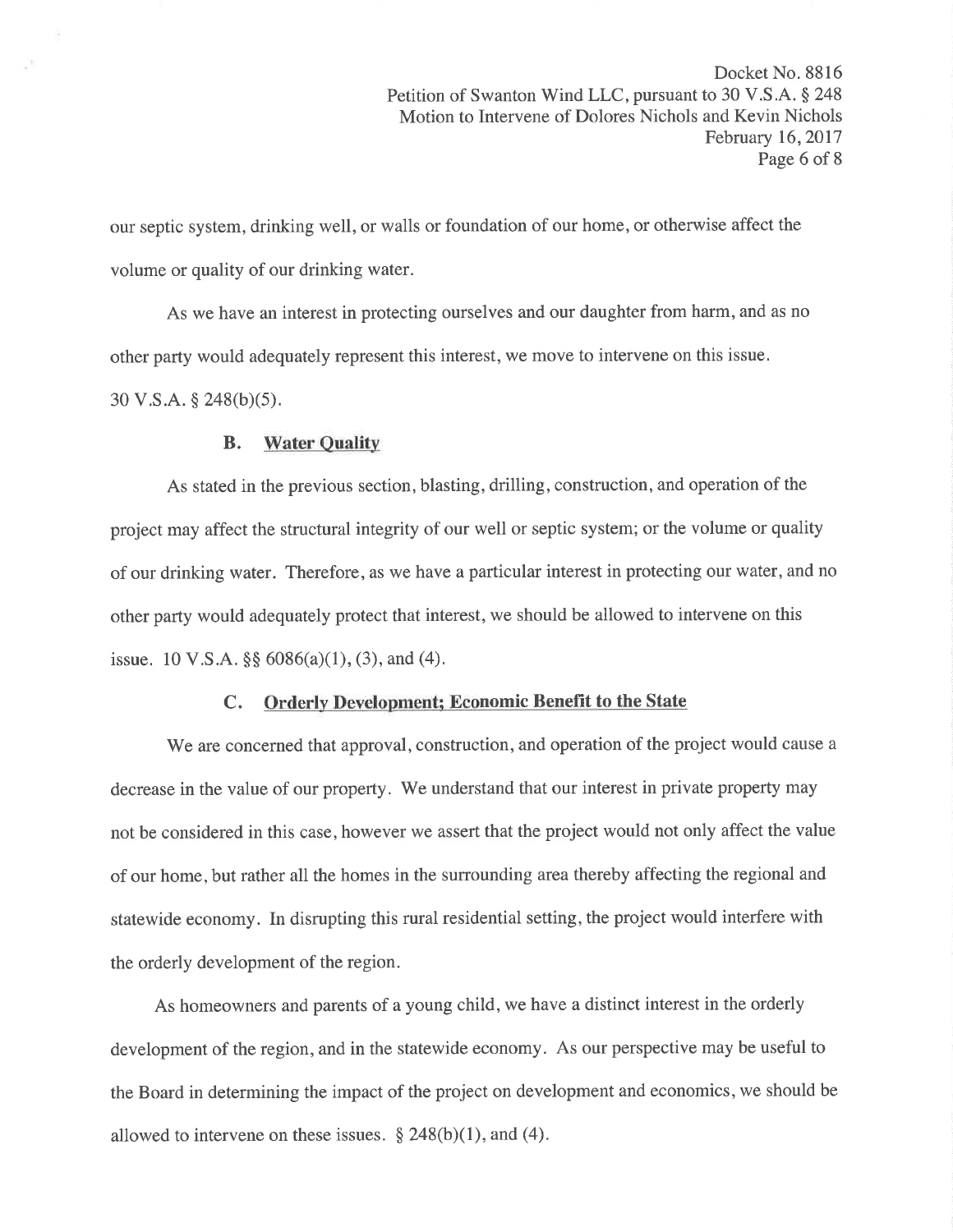our septic system, drinking well, or walls or foundation of our home, or otherwise affect the volume or quality of our drinking water.

As we have an interest in protecting ourselves and our daughter from harm, and as no other party would adequately represent this interest, we move to intervene on this issue.  $30 \text{ V.S.A.}$   $\S$  248(b)(5).

#### B. Water Quality

As stated in the previous section, blasting, drilling, construction, and operation of the project may affect the structural integrity of our well or septic system; or the volume or quality of our drinking water. Therefore, as we have a particular interest in protecting our water, and no other party would adequately protect that interest, we should be allowed to intervene on this issue. 10 V.S.A.  $\S$ § 6086(a)(1), (3), and (4).

### C. Orderly Development; Economic Benefit to the State

We are concerned that approval, construction, and operation of the project would cause a decrease in the value of our property. 'We understand that our interest in private property may not be considered in this case, however we assert that the project would not only affect the value of our home, but rather all the homes in the surrounding area thereby affecting the regional and statewide economy. In disrupting this rural residential setting, the project would interfere with the orderly development of the region.

As homeowners and parents of a young child, we have a distinct interest in the orderly development of the region, and in the statewide economy. As our perspective may be useful to the Board in determining the impact of the project on development and economics, we should be allowed to intervene on these issues.  $\S 248(b)(1)$ , and (4).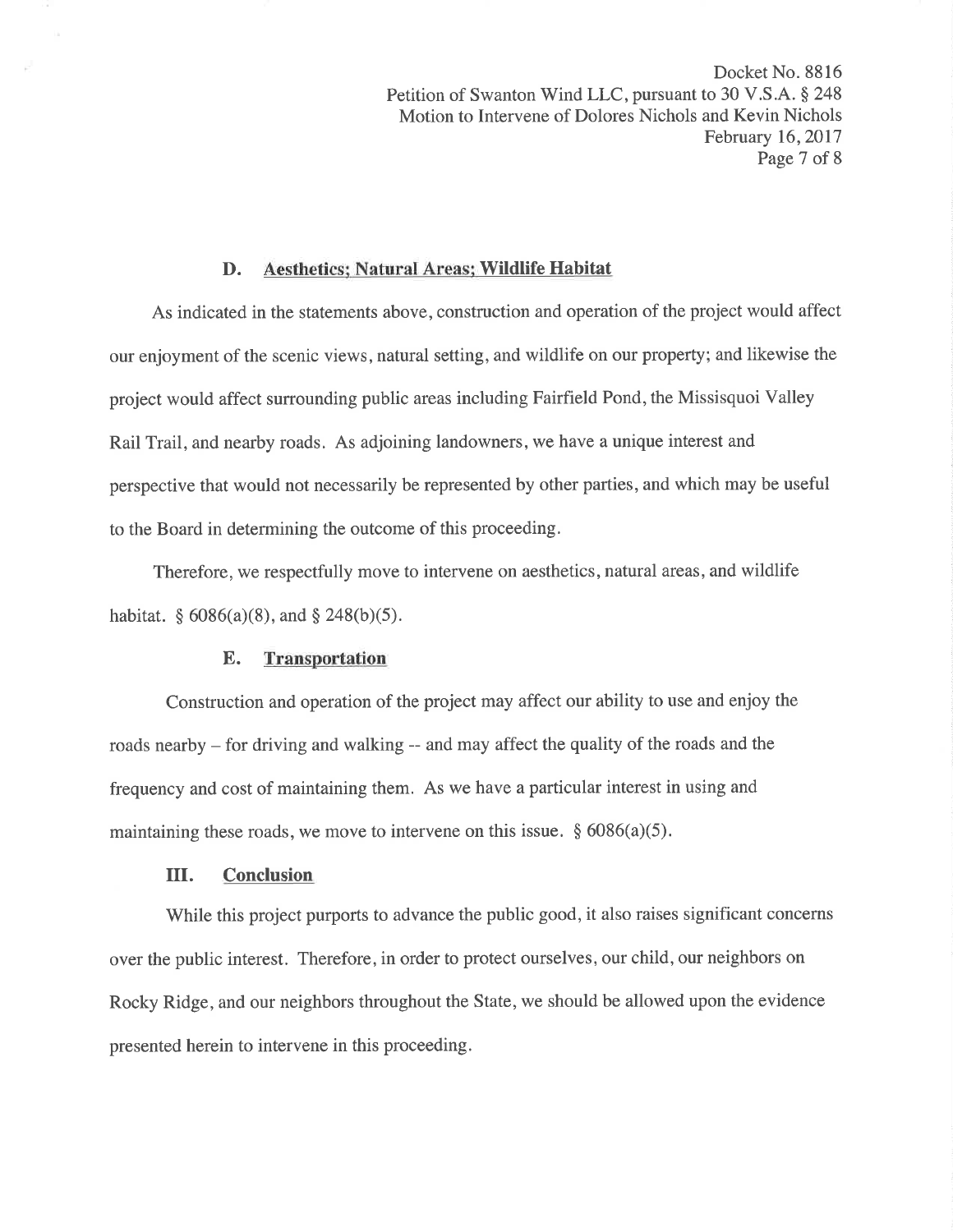Docket No. 8816 Petition of Swanton Wind LLC, pursuant to 30 V.S.A. § 248 Motion to Intervene of Dolores Nichols and Kevin Nichols February 16,2017 Page 7 of 8

#### D. Aesthetics: Natural Areas; Wildlife Habitat

As indicated in the statements above, construction and operation of the project would affect our enjoyment of the scenic views, natural setting, and wildlife on our property; and likewise the project would affect surrounding public areas including Fairfield Pond, the Missisquoi Valley Rail Trail, and nearby roads. As adjoining landowners, we have a unique interest and perspective that would not necessarily be represented by other parties, and which may be useful to the Board in determining the outcome of this proceeding.

Therefore, we respectfully move to intervene on aesthetics, natural areas, and wildlife habitat.  $\S$  6086(a)(8), and  $\S$  248(b)(5).

#### E. Transportation

Construction and operation of the project may affect our ability to use and enjoy the roads nearby - for driving and walking -- and may affect the quality of the roads and the frequency and cost of maintaining them. As we have a particular interest in using and maintaining these roads, we move to intervene on this issue.  $\S 6086(a)(5)$ .

### III. Conclusion

While this project purports to advance the public good, it also raises significant concerns over the public interest. Therefore, in order to protect ourselves, our child, our neighbors on Rocky Ridge, and our neighbors throughout the State, we should be allowed upon the evidence presented herein to intervene in this proceeding.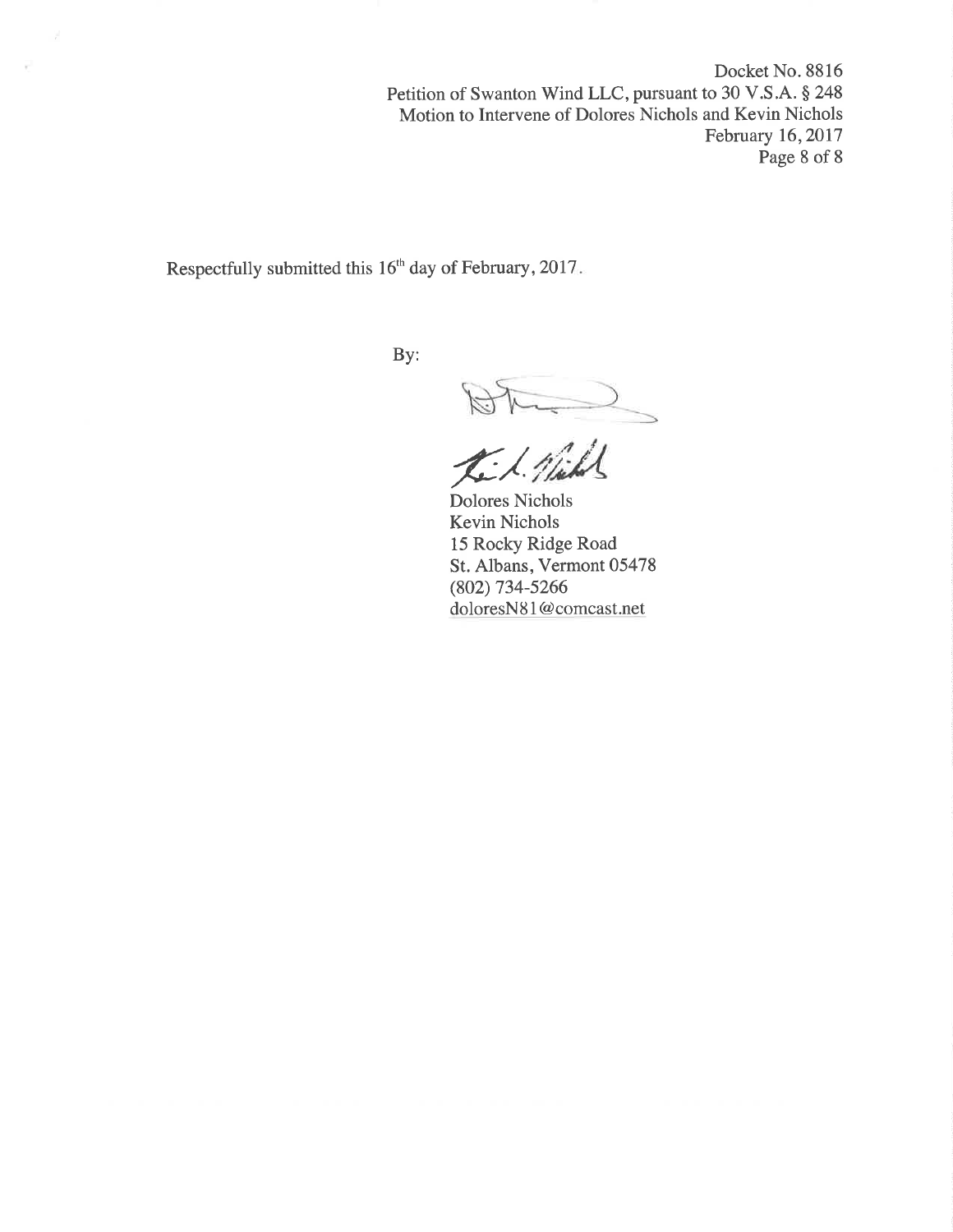Docket No. 8816 Petition of Swanton Wind LLC, pursuant to 30 V.S.A. § 248 Motion to Intervene of Dolores Nichols and Kevin Nichols February 16,2017 Page 8 of 8

Respectfully submitted this 16<sup>th</sup> day of February, 2017.

v

By:

 $\overline{\phantom{0}}$ 

Dolores Nichols Kevin Nichols 15 Rocky Ridge Road St. Albans, Vermont 05478 (802) 734-5266 doloresNS I @comcast.net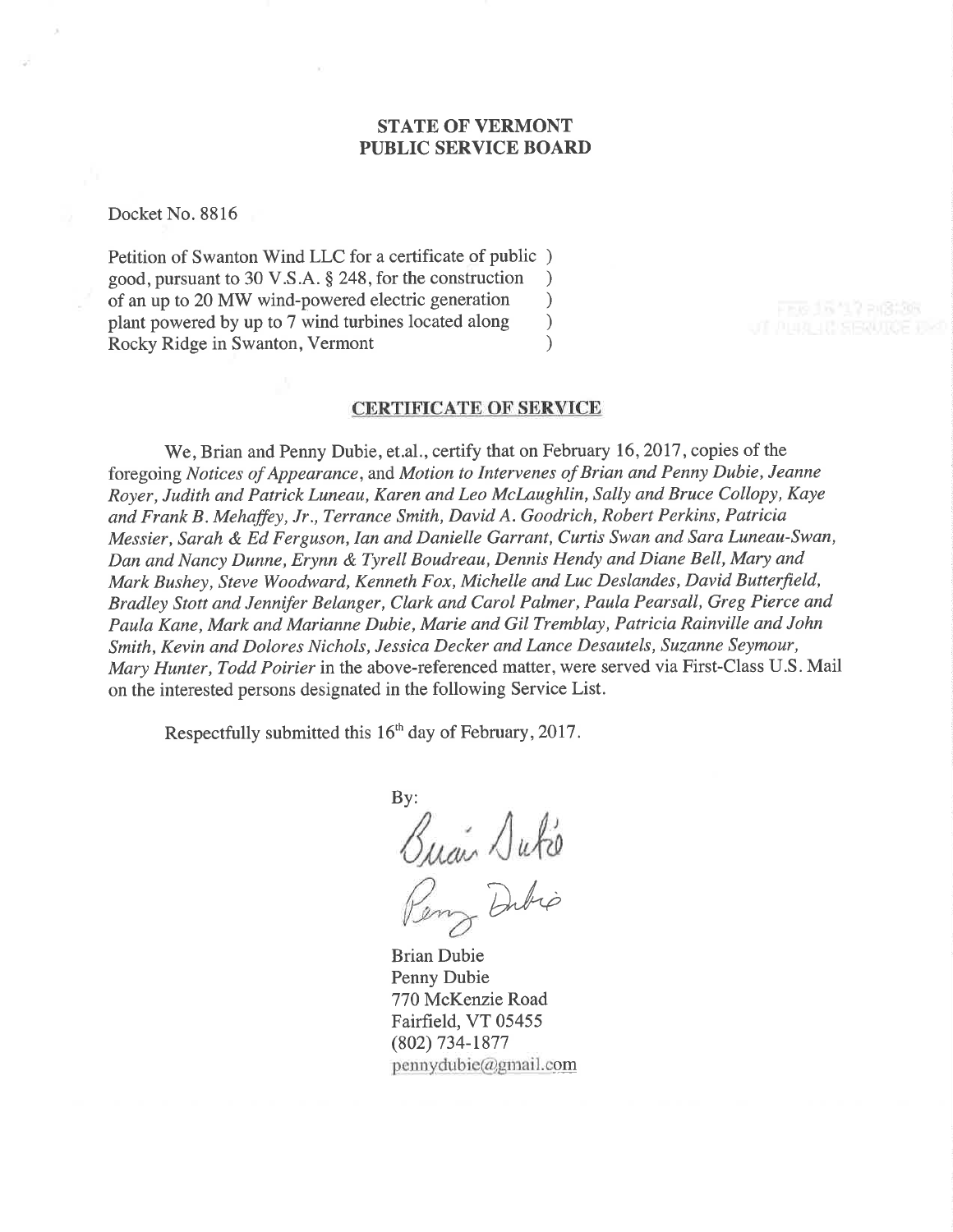# STATE OF VERMONT PUBLIC SERVICE BOARD

Docket No. 8816

Petition of Swanton Wind LLC for a certificate of public ) good, pursuant to 30 V.S.A. \$ 248, for the construction ) of an up to 20 MW wind-powered electric generation ) plant powered by up to 7 wind turbines located along  $\qquad$  ) Rocky Ridge in Swanton, Vermont (1988)

#### CERTIFICATE OF SERVICE

We, Brian and Penny Dubie, et.al., certify that on February 16, 2017, copies of the foregoing Notices of Appearance, and Motion to Intervenes of Brian and Penny Dubie, Jeanne Royer, Judith and Patrick Luneau, Karen and Leo McLaughlin, Sally and Bruce Collopy, Kaye and Frank B . Mehaffey, Jr., Terrance Smith, David A. Goodrich, Robert Perkins, Patricia Messier, Sarah & Ed Ferguson, Ian and Danielle Garrant, Curtis Swan and Sara Luneau-Swan, Dan and Nancy Dunne, Erynn & Tyrell Boudreau, Dennis Hendy and Diane Bell, Mary and Mark Bushey, Steve Woodward, Kenneth Fox, Michelle and Luc Deslandes, David Butterfield, Bradley Stott and Jennifer Belanger, Clark and Carol Palmer, Paula Pearsall, Greg Pierce and Paula Kane, Mark and Marianne Dubie, Marie and Gil Tremblay, Patricia Rainville and John Smith, Kevin and Dolores Nichols, Jessica Decker and Lance Desautels, Suzanne Seymour, Mary Hunter, Todd Poirier in the above-referenced matter, were served via First-Class U.S. Mail on the interested persons designated in the following Service List.

Respectfully submitted this 16<sup>th</sup> day of February, 2017.

By: Buan Duté Dibio

Brian Dubie Penny Dubie 770 McKenzie Road Fairfield, VT 05455 (802) 734-1877  $pennydubie(a)gmail.com$